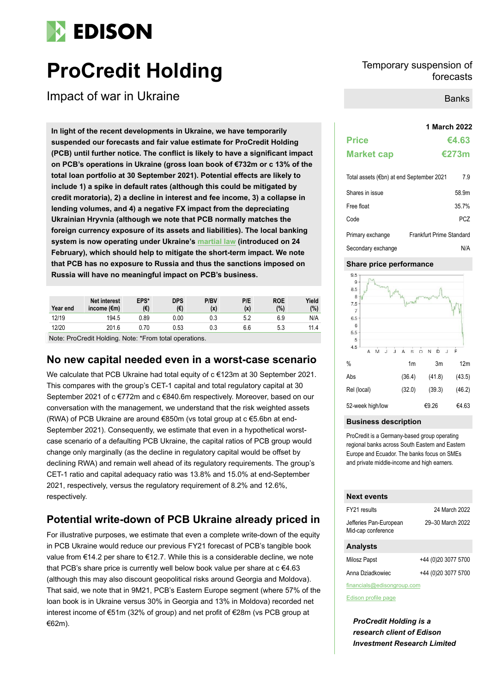# **EDISON**

# **ProCredit Holding** Temporary suspension of Temporary suspension of

Impact of war in Ukraine

**1 March 2022 In light of the recent developments in Ukraine, we have temporarily suspended our forecasts and fair value estimate for ProCredit Holding (PCB) until further notice. The conflict is likely to have a significant impact on PCB's operations in Ukraine (gross loan book of €732m or c 13% of the total loan portfolio at 30 September 2021). Potential effects are likely to include 1) a spike in default rates (although this could be mitigated by credit moratoria), 2) a decline in interest and fee income, 3) a collapse in lending volumes, and 4) a negative FX impact from the depreciating Ukrainian Hryvnia (although we note that PCB normally matches the foreign currency exposure of its assets and liabilities). The local banking system is now operating under Ukraine's [martial law](https://eur02.safelinks.protection.outlook.com/?url=https%3A%2F%2Fbank.gov.ua%2Fen%2Flegislation%2FResolution_24022022_18&data=04%7C01%7COlga.Kalynovska%40procredit-group.com%7C60ea24cf36e24f37f18e08d9f788b400%7C3471ad6de2eb4e8593aec344b4ac592c%7C0%7C0%7C637812988810356018%7CUnknown%7CTWFpbGZsb3d8eyJWIjoiMC4wLjAwMDAiLCJQIjoiV2luMzIiLCJBTiI6Ik1haWwiLCJXVCI6Mn0%3D%7C3000&sdata=Go8vB%2FYMXDaDDpeEw7W1jHxUuBhUPkqSpGwaesuiYFU%3D&reserved=0) (introduced on 24 February), which should help to mitigate the short-term impact. We note that PCB has no exposure to Russia and thus the sanctions imposed on Russia will have no meaningful impact on PCB's business.**

| Year end | <b>Net interest</b><br>income $(\epsilon m)$ | EPS*<br>(€) | <b>DPS</b><br>(€) | P/BV<br>(x) | P/E<br>(x) | <b>ROE</b><br>(%) | Yield<br>(%) |
|----------|----------------------------------------------|-------------|-------------------|-------------|------------|-------------------|--------------|
| 12/19    | 194.5                                        | 0.89        | 0.00              | 0.3         | 5.2        | 6.9               | N/A          |
| 12/20    | 201.6                                        | 0.70        | 0.53              | 0.3         | 6.6        | 5.3               | 11.4         |

Note: ProCredit Holding. Note: \*From total operations.

## **No new capital needed even in a worst-case scenario**

We calculate that PCB Ukraine had total equity of c €123m at 30 September 2021. This compares with the group's CET-1 capital and total regulatory capital at 30 September 2021 of c €772m and c €840.6m respectively. Moreover, based on our conversation with the management, we understand that the risk weighted assets (RWA) of PCB Ukraine are around €850m (vs total group at c €5.6bn at end-September 2021). Consequently, we estimate that even in a hypothetical worstcase scenario of a defaulting PCB Ukraine, the capital ratios of PCB group would change only marginally (as the decline in regulatory capital would be offset by declining RWA) and remain well ahead of its regulatory requirements. The group's CET-1 ratio and capital adequacy ratio was 13.8% and 15.0% at end-September 2021, respectively, versus the regulatory requirement of 8.2% and 12.6%, respectively.

# **Potential write-down of PCB Ukraine already priced in**

For illustrative purposes, we estimate that even a complete write-down of the equity in PCB Ukraine would reduce our previous FY21 forecast of PCB's tangible book value from €14.2 per share to €12.7. While this is a considerable decline, we note that PCB's share price is currently well below book value per share at c €4.63 (although this may also discount geopolitical risks around Georgia and Moldova). That said, we note that in 9M21, PCB's Eastern Europe segment (where 57% of the loan book is in Ukraine versus 30% in Georgia and 13% in Moldova) recorded net interest income of €51m (32% of group) and net profit of €28m (vs PCB group at €62m).

# forecasts

Banks

| <b>Price</b>      | €4.63        |
|-------------------|--------------|
| <b>Market cap</b> | <b>€273m</b> |

| Total assets (€bn) at end September 2021 | 7.9                      |
|------------------------------------------|--------------------------|
| Shares in issue                          | 58.9m                    |
| Free float                               | 35.7%                    |
| Code                                     | PCZ.                     |
| Primary exchange                         | Frankfurt Prime Standard |
| Secondary exchange                       | N/A                      |

### **Share price performance**



### **Business description**

ProCredit is a Germany-based group operating regional banks across South Eastern and Eastern Europe and Ecuador. The banks focus on SMEs and private middle-income and high earners.

### **Next events**

| FY21 results                                 | 24 March 2022       |  |  |
|----------------------------------------------|---------------------|--|--|
| Jefferies Pan-European<br>Mid-cap conference | 29-30 March 2022    |  |  |
| <b>Analysts</b>                              |                     |  |  |
| Milosz Papst                                 | +44 (0)20 3077 5700 |  |  |

Anna Dziadkowiec +44 (0)20 3077 5700

financials@edisongroup.com

[Edison profile page](https://www.edisongroup.com/company/procredit-holding/)

*ProCredit Holding is a research client of Edison Investment Research Limited*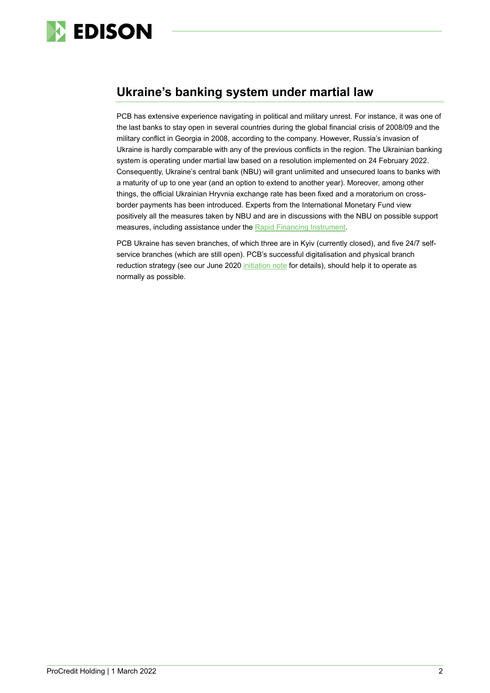

# **Ukraine's banking system under martial law**

PCB has extensive experience navigating in political and military unrest. For instance, it was one of the last banks to stay open in several countries during the global financial crisis of 2008/09 and the military conflict in Georgia in 2008, according to the company. However, Russia's invasion of Ukraine is hardly comparable with any of the previous conflicts in the region. The Ukrainian banking system is operating under martial law based on a resolution implemented on 24 February 2022. Consequently, Ukraine's central bank (NBU) will grant unlimited and unsecured loans to banks with a maturity of up to one year (and an option to extend to another year). Moreover, among other things, the official Ukrainian Hryvnia exchange rate has been fixed and a moratorium on crossborder payments has been introduced. Experts from the International Monetary Fund view positively all the measures taken by NBU and are in discussions with the NBU on possible support measures, including assistance under the [Rapid Financing Instrument.](https://www.imf.org/en/About/Factsheets/Sheets/2016/08/02/19/55/Rapid-Financing-Instrument)

PCB Ukraine has seven branches, of which three are in Kyiv (currently closed), and five 24/7 selfservice branches (which are still open). PCB's successful digitalisation and physical branch reduction strategy (see our June 2020 [initiation note](https://www.edisongroup.com/publication/impact-oriented-sme-lender-in-see-and-ee/27007/) for details), should help it to operate as normally as possible.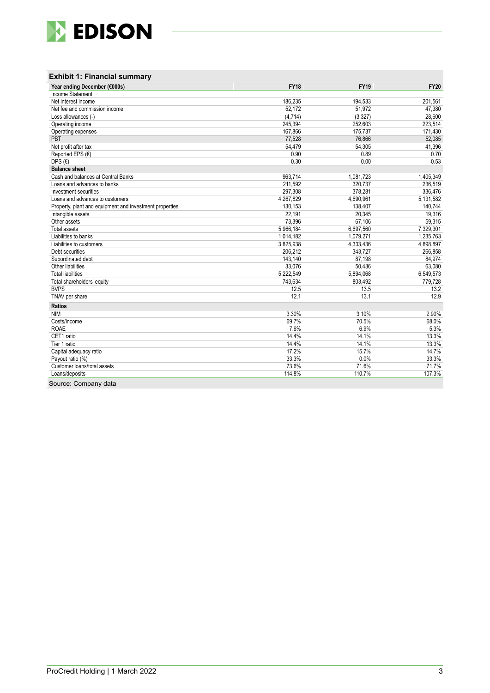

| Year ending December (€000s)                            | <b>FY18</b> | <b>FY19</b> | <b>FY20</b> |
|---------------------------------------------------------|-------------|-------------|-------------|
| Income Statement                                        |             |             |             |
| Net interest income                                     | 186,235     | 194,533     | 201,561     |
| Net fee and commission income                           | 52,172      | 51,972      | 47,380      |
| Loss allowances (-)                                     | (4, 714)    | (3, 327)    | 28.600      |
| Operating income                                        | 245,394     | 252,603     | 223,514     |
| Operating expenses                                      | 167,866     | 175,737     | 171,430     |
| PBT                                                     | 77,528      | 76,866      | 52,085      |
| Net profit after tax                                    | 54,479      | 54,305      | 41,396      |
| Reported EPS (€)                                        | 0.90        | 0.89        | 0.70        |
| DPS $(E)$                                               | 0.30        | 0.00        | 0.53        |
| <b>Balance sheet</b>                                    |             |             |             |
| Cash and balances at Central Banks                      | 963,714     | 1,081,723   | 1,405,349   |
| Loans and advances to banks                             | 211,592     | 320,737     | 236,519     |
| Investment securities                                   | 297.308     | 378.281     | 336.476     |
| Loans and advances to customers                         | 4,267,829   | 4,690,961   | 5,131,582   |
| Property, plant and equipment and investment properties | 130,153     | 138.407     | 140,744     |
| Intangible assets                                       | 22,191      | 20,345      | 19,316      |
| Other assets                                            | 73,396      | 67,106      | 59,315      |
| <b>Total assets</b>                                     | 5,966,184   | 6,697,560   | 7,329,301   |
| Liabilities to banks                                    | 1,014,182   | 1,079,271   | 1,235,763   |
| Liabilities to customers                                | 3,825,938   | 4,333,436   | 4,898,897   |
| Debt securities                                         | 206,212     | 343,727     | 266,858     |
| Subordinated debt                                       | 143,140     | 87.198      | 84.974      |
| Other liabilities                                       | 33,076      | 50.436      | 63,080      |
| <b>Total liabilities</b>                                | 5,222,549   | 5,894,068   | 6,549,573   |
| Total shareholders' equity                              | 743,634     | 803,492     | 779,728     |
| <b>BVPS</b>                                             | 12.5        | 13.5        | 13.2        |
| TNAV per share                                          | 12.1        | 13.1        | 12.9        |
| <b>Ratios</b>                                           |             |             |             |
| <b>NIM</b>                                              | 3.30%       | 3.10%       | 2.90%       |
| Costs/income                                            | 69.7%       | 70.5%       | 68.0%       |
| <b>ROAE</b>                                             | 7.6%        | 6.9%        | 5.3%        |
| CET1 ratio                                              | 14.4%       | 14.1%       | 13.3%       |
| Tier 1 ratio                                            | 14.4%       | 14.1%       | 13.3%       |
| Capital adequacy ratio                                  | 17.2%       | 15.7%       | 14.7%       |
| Payout ratio (%)                                        | 33.3%       | 0.0%        | 33.3%       |
| Customer loans/total assets                             | 73.6%       | 71.6%       | 71.7%       |
| Loans/deposits                                          | 114.8%      | 110.7%      | 107.3%      |

Source: Company data